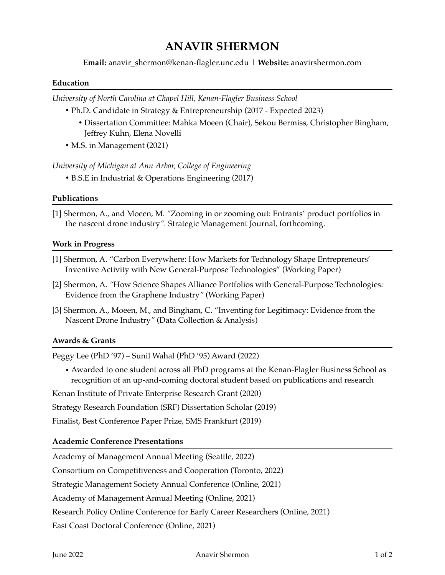# **ANAVIR SHERMON**

# **Email:** [anavir\\_shermon@kenan-flagler.unc.edu](mailto:anavir_shermon@kenan-flagler.unc.edu) **| Website:** [anavirshermon.com](http://anavirshermon.com)

#### **Education**

*University of North Carolina at Chapel Hill, Kenan-Flagler Business School*

- Ph.D. Candidate in Strategy & Entrepreneurship (2017 Expected 2023)
	- Dissertation Committee: Mahka Moeen (Chair), Sekou Bermiss, Christopher Bingham, Jeffrey Kuhn, Elena Novelli
- M.S. in Management (2021)

*University of Michigan at Ann Arbor, College of Engineering*

• B.S.E in Industrial & Operations Engineering (2017)

### **Publications**

[1] Shermon, A., and Moeen, M. *"*Zooming in or zooming out: Entrants' product portfolios in the nascent drone industry*".* Strategic Management Journal, forthcoming.

#### **Work in Progress**

- [1] Shermon, A. "Carbon Everywhere: How Markets for Technology Shape Entrepreneurs' Inventive Activity with New General-Purpose Technologies" (Working Paper)
- [2] Shermon, A. *"*How Science Shapes Alliance Portfolios with General-Purpose Technologies: Evidence from the Graphene Industry*"* (Working Paper)
- [3] Shermon, A., Moeen, M., and Bingham, C. "Inventing for Legitimacy: Evidence from the Nascent Drone Industry*"* (Data Collection & Analysis)

### **Awards & Grants**

Peggy Lee (PhD '97) – Sunil Wahal (PhD '95) Award (2022)

• Awarded to one student across all PhD programs at the Kenan-Flagler Business School as recognition of an up-and-coming doctoral student based on publications and research

Kenan Institute of Private Enterprise Research Grant (2020)

Strategy Research Foundation (SRF) Dissertation Scholar (2019)

Finalist, Best Conference Paper Prize, SMS Frankfurt (2019)

### **Academic Conference Presentations**

Academy of Management Annual Meeting (Seattle, 2022)

Consortium on Competitiveness and Cooperation (Toronto, 2022)

Strategic Management Society Annual Conference (Online, 2021)

Academy of Management Annual Meeting (Online, 2021)

Research Policy Online Conference for Early Career Researchers (Online, 2021)

East Coast Doctoral Conference (Online, 2021)